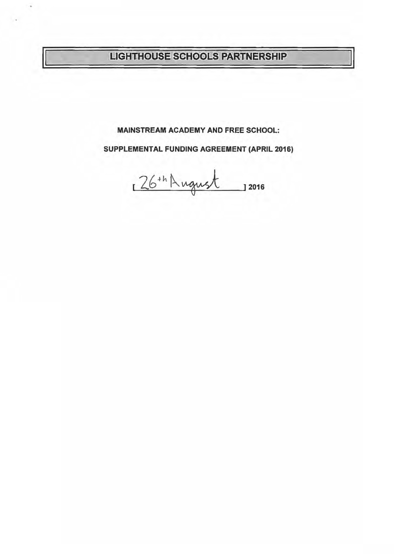## **LIGHTHOUSE SCHOOLS PARTNERSHIP**

**MAINSTREAM ACADEMY AND FREE SCHOOL:** 

SUPPLEMENTAL FUNDING AGREEMENT (APRIL 2016)

26<sup>+h</sup> August 12016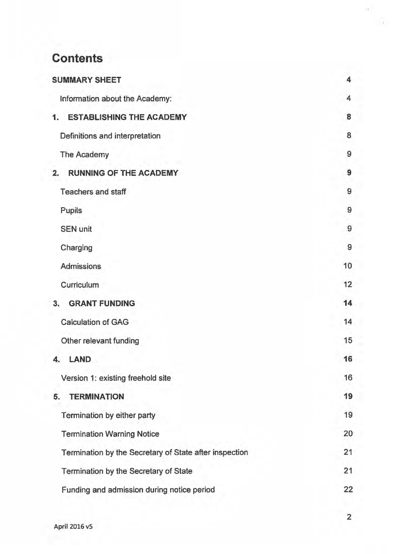# **Contents**

| <b>SUMMARY SHEET</b>                                   | 4  |
|--------------------------------------------------------|----|
| Information about the Academy:                         | 4  |
| <b>ESTABLISHING THE ACADEMY</b><br>1.                  | 8  |
| Definitions and interpretation                         | 8  |
| The Academy                                            | 9  |
| <b>RUNNING OF THE ACADEMY</b><br>2.                    | 9  |
| <b>Teachers and staff</b>                              | 9  |
| Pupils                                                 | 9  |
| <b>SEN unit</b>                                        | 9  |
| Charging                                               | 9  |
| Admissions                                             | 10 |
| Curriculum                                             | 12 |
| <b>GRANT FUNDING</b><br>3.                             | 14 |
| <b>Calculation of GAG</b>                              | 14 |
| Other relevant funding                                 | 15 |
| LAND<br>4.                                             | 16 |
| Version 1: existing freehold site                      | 16 |
| <b>TERMINATION</b><br>5.                               | 19 |
| Termination by either party                            | 19 |
| <b>Termination Warning Notice</b>                      | 20 |
| Termination by the Secretary of State after inspection | 21 |
| Termination by the Secretary of State                  | 21 |
| Funding and admission during notice period             | 22 |
|                                                        |    |

2

 $\sim$ 

 $\overline{\mathcal{A}}$  .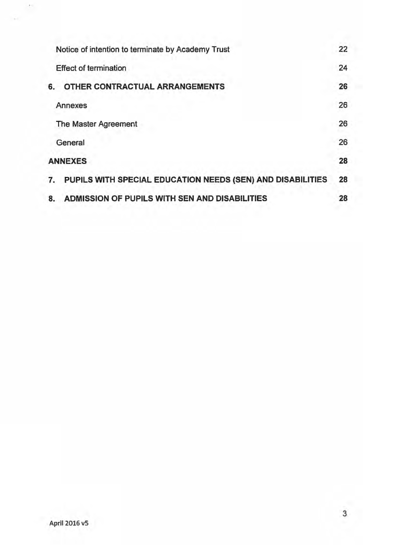| Notice of intention to terminate by Academy Trust                | 22 |  |
|------------------------------------------------------------------|----|--|
| <b>Effect of termination</b>                                     | 24 |  |
| OTHER CONTRACTUAL ARRANGEMENTS<br>6.                             | 26 |  |
| Annexes                                                          | 26 |  |
| The Master Agreement                                             | 26 |  |
| General                                                          | 26 |  |
| <b>ANNEXES</b>                                                   | 28 |  |
| PUPILS WITH SPECIAL EDUCATION NEEDS (SEN) AND DISABILITIES<br>7. | 28 |  |
| ADMISSION OF PUPILS WITH SEN AND DISABILITIES<br>8.              | 28 |  |
|                                                                  |    |  |
|                                                                  |    |  |

 $\bar{\psi}$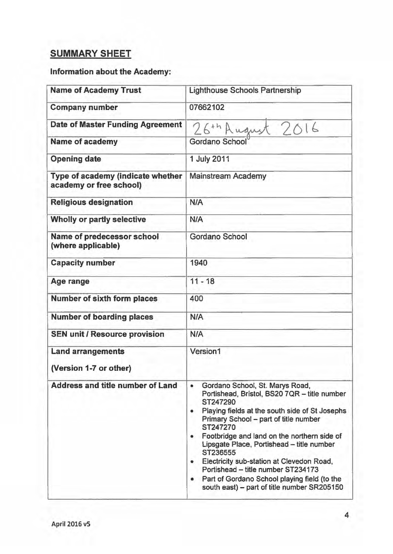## SUMMARY SHEET

## Information about the Academy:

| <b>Name of Academy Trust</b>                                 | <b>Lighthouse Schools Partnership</b>                                                                                                                                                                                                                                                                                                                                                                                                                                                                  |  |  |
|--------------------------------------------------------------|--------------------------------------------------------------------------------------------------------------------------------------------------------------------------------------------------------------------------------------------------------------------------------------------------------------------------------------------------------------------------------------------------------------------------------------------------------------------------------------------------------|--|--|
| <b>Company number</b>                                        | 07662102                                                                                                                                                                                                                                                                                                                                                                                                                                                                                               |  |  |
| Date of Master Funding Agreement                             | 26 <sup>+h</sup> August 2016                                                                                                                                                                                                                                                                                                                                                                                                                                                                           |  |  |
| <b>Name of academy</b>                                       |                                                                                                                                                                                                                                                                                                                                                                                                                                                                                                        |  |  |
| <b>Opening date</b>                                          | 1 July 2011                                                                                                                                                                                                                                                                                                                                                                                                                                                                                            |  |  |
| Type of academy (indicate whether<br>academy or free school) | <b>Mainstream Academy</b>                                                                                                                                                                                                                                                                                                                                                                                                                                                                              |  |  |
| <b>Religious designation</b>                                 | N/A                                                                                                                                                                                                                                                                                                                                                                                                                                                                                                    |  |  |
| Wholly or partly selective                                   | <b>N/A</b>                                                                                                                                                                                                                                                                                                                                                                                                                                                                                             |  |  |
| Name of predecessor school<br>(where applicable)             | Gordano School                                                                                                                                                                                                                                                                                                                                                                                                                                                                                         |  |  |
| <b>Capacity number</b>                                       | 1940                                                                                                                                                                                                                                                                                                                                                                                                                                                                                                   |  |  |
| Age range                                                    | $11 - 18$                                                                                                                                                                                                                                                                                                                                                                                                                                                                                              |  |  |
| Number of sixth form places                                  | 400                                                                                                                                                                                                                                                                                                                                                                                                                                                                                                    |  |  |
| <b>Number of boarding places</b>                             | N/A                                                                                                                                                                                                                                                                                                                                                                                                                                                                                                    |  |  |
| <b>SEN unit / Resource provision</b>                         | N/A                                                                                                                                                                                                                                                                                                                                                                                                                                                                                                    |  |  |
| <b>Land arrangements</b>                                     | Version1                                                                                                                                                                                                                                                                                                                                                                                                                                                                                               |  |  |
| (Version 1-7 or other)                                       |                                                                                                                                                                                                                                                                                                                                                                                                                                                                                                        |  |  |
| Address and title number of Land                             | Gordano School, St. Marys Road,<br>Portishead, Bristol, BS20 7QR - title number<br>ST247290<br>Playing fields at the south side of St Josephs<br>Primary School - part of title number<br>ST247270<br>Footbridge and land on the northern side of<br>Lipsgate Place, Portishead - title number<br>ST236555<br>Electricity sub-station at Clevedon Road,<br>۰<br>Portishead - title number ST234173<br>Part of Gordano School playing field (to the<br>۰<br>south east) - part of title number SR205150 |  |  |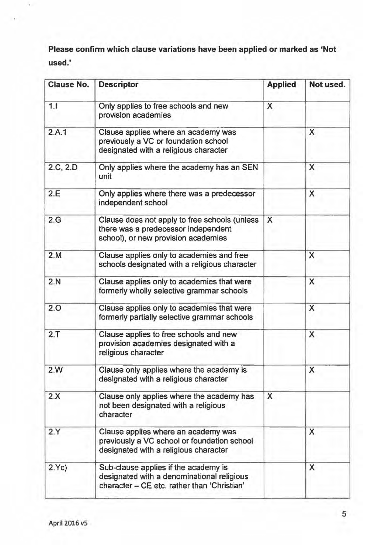Please confirm which clause variations have been applied or marked as 'Not used.'

| <b>Clause No.</b> | <b>Descriptor</b>                                                                                                                 | <b>Applied</b> | Not used. |
|-------------------|-----------------------------------------------------------------------------------------------------------------------------------|----------------|-----------|
| 1.1               | Only applies to free schools and new<br>provision academies                                                                       | X              |           |
| 2.A.1             | Clause applies where an academy was<br>previously a VC or foundation school<br>designated with a religious character              |                | X         |
| 2.C, 2.D          | Only applies where the academy has an SEN<br>unit                                                                                 |                | x         |
| 2.E               | Only applies where there was a predecessor<br>independent school                                                                  |                | X.        |
| 2.G               | Clause does not apply to free schools (unless<br>there was a predecessor independent<br>school), or new provision academies       | X              |           |
| 2.M               | Clause applies only to academies and free<br>schools designated with a religious character                                        |                | X         |
| 2.N               | Clause applies only to academies that were<br>formerly wholly selective grammar schools                                           |                | X         |
| 2.0               | Clause applies only to academies that were<br>formerly partially selective grammar schools                                        |                | X         |
| 2.7               | Clause applies to free schools and new<br>provision academies designated with a<br>religious character                            |                | X         |
| 2.W               | Clause only applies where the academy is<br>designated with a religious character                                                 |                | X         |
| 2.X               | Clause only applies where the academy has<br>not been designated with a religious<br>character                                    | X              |           |
| 2.Y               | Clause applies where an academy was<br>previously a VC school or foundation school<br>designated with a religious character       |                | X         |
| 2.Yc)             | Sub-clause applies if the academy is<br>designated with a denominational religious<br>character - CE etc. rather than 'Christian' |                | X         |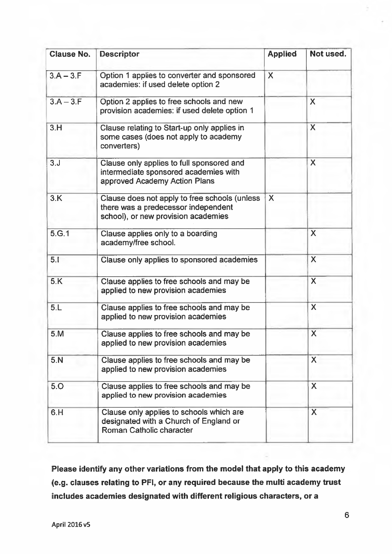| <b>Clause No.</b> | <b>Descriptor</b>                                                                                                           | <b>Applied</b> | Not used.                 |
|-------------------|-----------------------------------------------------------------------------------------------------------------------------|----------------|---------------------------|
| $3.A - 3.F$       | Option 1 applies to converter and sponsored<br>academies: if used delete option 2                                           | X              |                           |
| $3.A - 3.F$       | Option 2 applies to free schools and new<br>provision academies: if used delete option 1                                    |                | X                         |
| 3.H               | Clause relating to Start-up only applies in<br>some cases (does not apply to academy<br>converters)                         |                | $\boldsymbol{\mathsf{X}}$ |
| 3. J              | Clause only applies to full sponsored and<br>intermediate sponsored academies with<br>approved Academy Action Plans         |                | $\boldsymbol{\mathsf{X}}$ |
| 3.K               | Clause does not apply to free schools (unless<br>there was a predecessor independent<br>school), or new provision academies | X              |                           |
| 5.G.1             | Clause applies only to a boarding<br>academy/free school.                                                                   |                | $\mathsf{X}$              |
| 5.1               | Clause only applies to sponsored academies                                                                                  |                | X                         |
| 5.K               | Clause applies to free schools and may be<br>applied to new provision academies                                             |                | $\mathsf{X}$              |
| 5.L               | Clause applies to free schools and may be<br>applied to new provision academies                                             |                | $\mathsf{X}$              |
| 5.M               | Clause applies to free schools and may be<br>applied to new provision academies                                             |                | X                         |
| 5. N              | Clause applies to free schools and may be<br>applied to new provision academies                                             |                | $\mathsf{X}$              |
| 5.0               | Clause applies to free schools and may be<br>applied to new provision academies                                             |                | $\mathsf{X}$              |
| 6.H               | Clause only applies to schools which are<br>designated with a Church of England or<br>Roman Catholic character              |                | X                         |
|                   |                                                                                                                             |                |                           |

Please identify any other variations from the model that apply to this academy (e.g. clauses relating to PFI, or any required because the multi academy trust includes academies designated with different religious characters, or a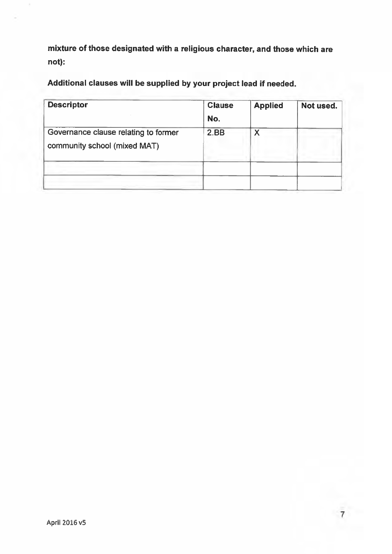mixture of those designated with a religious character, and those which are not):

Additional clauses will be supplied by your project lead if needed.

| <b>Descriptor</b>                                                    | <b>Clause</b><br>No. | <b>Applied</b> | Not used. |
|----------------------------------------------------------------------|----------------------|----------------|-----------|
| Governance clause relating to former<br>community school (mixed MAT) | 2.BB                 |                |           |
|                                                                      |                      |                |           |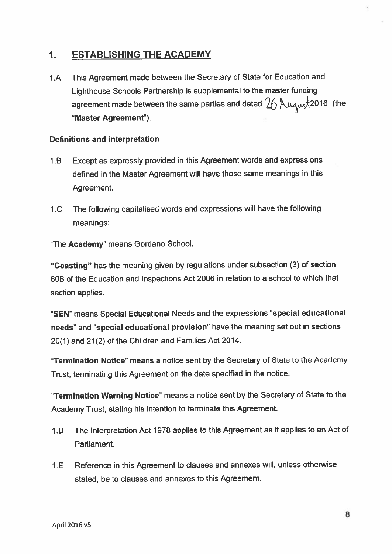#### $1.$ **ESTABLISHING THE ACADEMY**

This Agreement made between the Secretary of State for Education and  $1A$ Lighthouse Schools Partnership is supplemental to the master funding agreement made between the same parties and dated  $26$  Au $44$ "Master Agreement").

#### **Definitions and interpretation**

- Except as expressly provided in this Agreement words and expressions  $1.B$ defined in the Master Agreement will have those same meanings in this Agreement.
- The following capitalised words and expressions will have the following  $1<sup>C</sup>$ meanings:

"The Academy" means Gordano School.

"Coasting" has the meaning given by regulations under subsection (3) of section 60B of the Education and Inspections Act 2006 in relation to a school to which that section applies.

"SEN" means Special Educational Needs and the expressions "special educational needs" and "special educational provision" have the meaning set out in sections 20(1) and 21(2) of the Children and Families Act 2014.

"Termination Notice" means a notice sent by the Secretary of State to the Academy Trust, terminating this Agreement on the date specified in the notice.

"Termination Warning Notice" means a notice sent by the Secretary of State to the Academy Trust, stating his intention to terminate this Agreement.

- The Interpretation Act 1978 applies to this Agreement as it applies to an Act of  $1.D$ Parliament
- Reference in this Agreement to clauses and annexes will, unless otherwise  $1.E$ stated, be to clauses and annexes to this Agreement.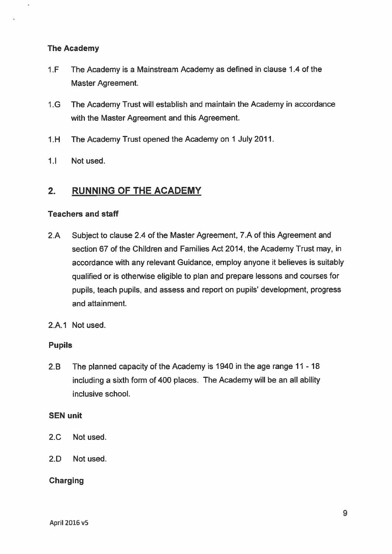#### **The Academy**

¥

- $1.F$ The Academy is a Mainstream Academy as defined in clause 1.4 of the **Master Agreement.**
- $1.G$ The Academy Trust will establish and maintain the Academy in accordance with the Master Agreement and this Agreement.
- $1.H$ The Academy Trust opened the Academy on 1 July 2011.
- $1.1$ Not used.

#### $2.$ **RUNNING OF THE ACADEMY**

#### **Teachers and staff**

- $2.A$ Subject to clause 2.4 of the Master Agreement, 7.A of this Agreement and section 67 of the Children and Families Act 2014, the Academy Trust may, in accordance with any relevant Guidance, employ anyone it believes is suitably qualified or is otherwise eligible to plan and prepare lessons and courses for pupils, teach pupils, and assess and report on pupils' development, progress and attainment.
- 2.A.1 Not used.

### **Pupils**

The planned capacity of the Academy is 1940 in the age range 11 - 18  $2.B$ including a sixth form of 400 places. The Academy will be an all ability inclusive school.

#### **SEN unit**

- $2.C$ Not used.
- $2.D$ Not used.

### **Charging**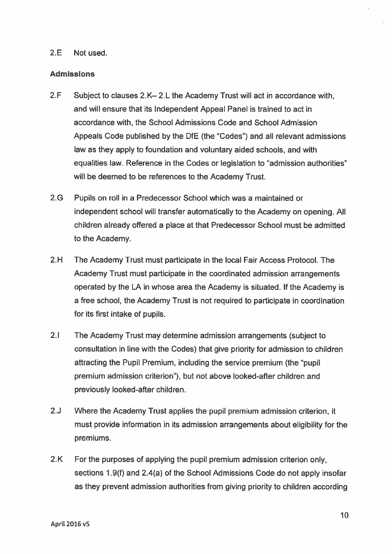#### $2.E$ Not used.

#### **Admissions**

- $2.F$ Subject to clauses 2.K-2.L the Academy Trust will act in accordance with. and will ensure that its Independent Appeal Panel is trained to act in accordance with, the School Admissions Code and School Admission Appeals Code published by the DfE (the "Codes") and all relevant admissions law as they apply to foundation and voluntary aided schools, and with equalities law. Reference in the Codes or legislation to "admission authorities" will be deemed to be references to the Academy Trust.
- $2.G$ Pupils on roll in a Predecessor School which was a maintained or independent school will transfer automatically to the Academy on opening. All children already offered a place at that Predecessor School must be admitted to the Academy.
- $2.H$ The Academy Trust must participate in the local Fair Access Protocol. The Academy Trust must participate in the coordinated admission arrangements operated by the LA in whose area the Academy is situated. If the Academy is a free school, the Academy Trust is not required to participate in coordination for its first intake of pupils.
- $2.1$ The Academy Trust may determine admission arrangements (subject to consultation in line with the Codes) that give priority for admission to children attracting the Pupil Premium, including the service premium (the "pupil" premium admission criterion"), but not above looked-after children and previously looked-after children.
- $2.J$ Where the Academy Trust applies the pupil premium admission criterion, it must provide information in its admission arrangements about eligibility for the premiums.
- $2K$ For the purposes of applying the pupil premium admission criterion only. sections 1.9(f) and 2.4(a) of the School Admissions Code do not apply insofar as they prevent admission authorities from giving priority to children according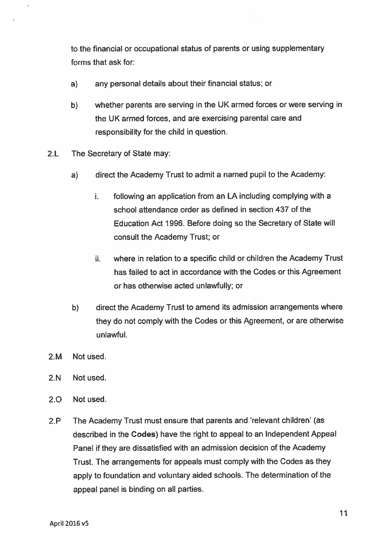to the financial or occupational status of parents or using supplementary forms that ask for:

- any personal details about their financial status; or  $a)$
- whether parents are serving in the UK armed forces or were serving in  $b)$ the UK armed forces, and are exercising parental care and responsibility for the child in question.
- $2.L$ The Secretary of State may:
	- direct the Academy Trust to admit a named pupil to the Academy:  $a)$ 
		- i. following an application from an LA including complying with a school attendance order as defined in section 437 of the Education Act 1996. Before doing so the Secretary of State will consult the Academy Trust; or
		- ii. where in relation to a specific child or children the Academy Trust has failed to act in accordance with the Codes or this Agreement or has otherwise acted unlawfully; or
	- direct the Academy Trust to amend its admission arrangements where  $b)$ they do not comply with the Codes or this Agreement, or are otherwise unlawful.
- $2.M$ Not used.
- $2.N$ Not used.
- $2.0<sub>1</sub>$ Not used.
- $2.P$ The Academy Trust must ensure that parents and 'relevant children' (as described in the Codes) have the right to appeal to an Independent Appeal Panel if they are dissatisfied with an admission decision of the Academy Trust. The arrangements for appeals must comply with the Codes as they apply to foundation and voluntary aided schools. The determination of the appeal panel is binding on all parties.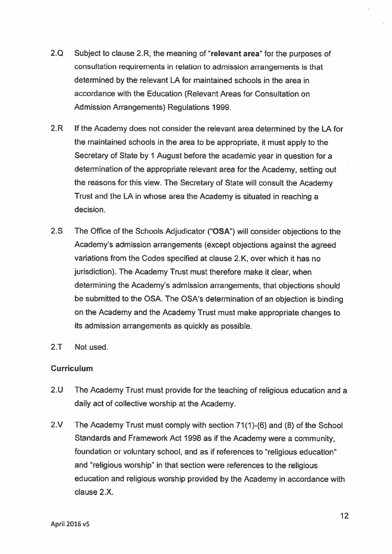- $2.0<sub>1</sub>$ Subject to clause 2.R, the meaning of "relevant area" for the purposes of consultation requirements in relation to admission arrangements is that determined by the relevant LA for maintained schools in the area in accordance with the Education (Relevant Areas for Consultation on **Admission Arrangements) Regulations 1999.**
- $2.R$ If the Academy does not consider the relevant area determined by the LA for the maintained schools in the area to be appropriate, it must apply to the Secretary of State by 1 August before the academic year in question for a determination of the appropriate relevant area for the Academy, setting out the reasons for this view. The Secretary of State will consult the Academy Trust and the LA in whose area the Academy is situated in reaching a decision.
- $2.S$ The Office of the Schools Adjudicator ("OSA") will consider objections to the Academy's admission arrangements (except objections against the agreed variations from the Codes specified at clause 2.K, over which it has no jurisdiction). The Academy Trust must therefore make it clear, when determining the Academy's admission arrangements, that objections should be submitted to the OSA. The OSA's determination of an objection is binding on the Academy and the Academy Trust must make appropriate changes to its admission arrangements as quickly as possible.
- $2. T$ Not used.

#### **Curriculum**

- $2.U$ The Academy Trust must provide for the teaching of religious education and a daily act of collective worship at the Academy.
- $2.V$ The Academy Trust must comply with section 71(1)-(6) and (8) of the School Standards and Framework Act 1998 as if the Academy were a community, foundation or voluntary school, and as if references to "religious education" and "religious worship" in that section were references to the religious education and religious worship provided by the Academy in accordance with clause 2.X.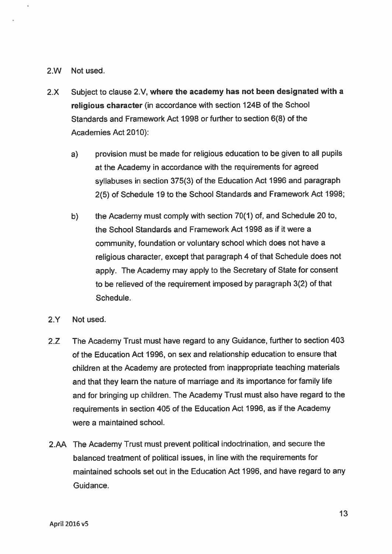#### $2.W$ Not used.

- $2.X$ Subject to clause 2.V, where the academy has not been designated with a religious character (in accordance with section 124B of the School Standards and Framework Act 1998 or further to section 6(8) of the Academies Act 2010):
	- provision must be made for religious education to be given to all pupils  $a)$ at the Academy in accordance with the requirements for agreed syllabuses in section 375(3) of the Education Act 1996 and paragraph 2(5) of Schedule 19 to the School Standards and Framework Act 1998;
	- the Academy must comply with section 70(1) of, and Schedule 20 to,  $b)$ the School Standards and Framework Act 1998 as if it were a community, foundation or voluntary school which does not have a religious character, except that paragraph 4 of that Schedule does not apply. The Academy may apply to the Secretary of State for consent to be relieved of the requirement imposed by paragraph 3(2) of that Schedule.
- $2.Y$ Not used.
- The Academy Trust must have regard to any Guidance, further to section 403  $2.Z$ of the Education Act 1996, on sex and relationship education to ensure that children at the Academy are protected from inappropriate teaching materials and that they learn the nature of marriage and its importance for family life and for bringing up children. The Academy Trust must also have regard to the requirements in section 405 of the Education Act 1996, as if the Academy were a maintained school.
- 2.AA The Academy Trust must prevent political indoctrination, and secure the balanced treatment of political issues, in line with the requirements for maintained schools set out in the Education Act 1996, and have regard to any Guidance.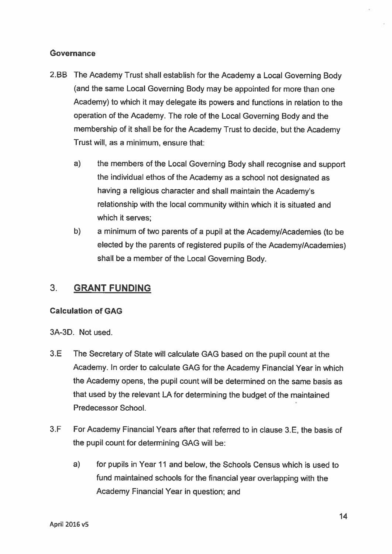### Governance

- 2.BB The Academy Trust shall establish for the Academy a Local Governing Body (and the same Local Governing Body may be appointed for more than one Academy) to which it may delegate its powers and functions in relation to the operation of the Academy. The role of the Local Governing Body and the membership of it shall be for the Academy Trust to decide, but the Academy Trust will, as a minimum, ensure that:
	- $a)$ the members of the Local Governing Body shall recognise and support the individual ethos of the Academy as a school not designated as having a religious character and shall maintain the Academy's relationship with the local community within which it is situated and which it serves:
	- $\mathbf{b}$ a minimum of two parents of a pupil at the Academy/Academies (to be elected by the parents of registered pupils of the Academy/Academies) shall be a member of the Local Governing Body.

#### $3<sub>1</sub>$ **GRANT FUNDING**

#### **Calculation of GAG**

- 3A-3D. Not used.
- $3.E$ The Secretary of State will calculate GAG based on the pupil count at the Academy. In order to calculate GAG for the Academy Financial Year in which the Academy opens, the pupil count will be determined on the same basis as that used by the relevant LA for determining the budget of the maintained Predecessor School
- $3.F$ For Academy Financial Years after that referred to in clause 3.E. the basis of the pupil count for determining GAG will be:
	- $a)$ for pupils in Year 11 and below, the Schools Census which is used to fund maintained schools for the financial year overlapping with the Academy Financial Year in question; and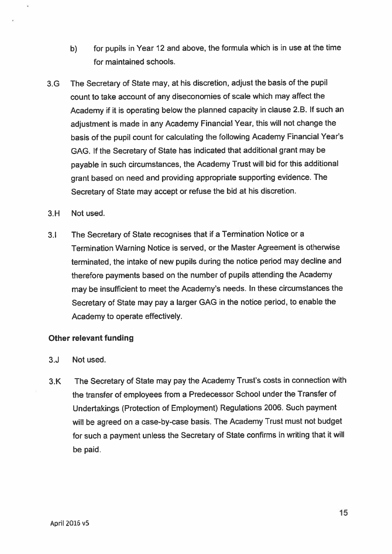- for pupils in Year 12 and above, the formula which is in use at the time  $\mathbf{b}$ for maintained schools.
- The Secretary of State may, at his discretion, adjust the basis of the pupil  $3.G$ count to take account of any diseconomies of scale which may affect the Academy if it is operating below the planned capacity in clause 2.B. If such an adjustment is made in any Academy Financial Year, this will not change the basis of the pupil count for calculating the following Academy Financial Year's GAG. If the Secretary of State has indicated that additional grant may be payable in such circumstances, the Academy Trust will bid for this additional grant based on need and providing appropriate supporting evidence. The Secretary of State may accept or refuse the bid at his discretion.
- $3.H$ Not used.
- $3.1$ The Secretary of State recognises that if a Termination Notice or a Termination Warning Notice is served, or the Master Agreement is otherwise terminated, the intake of new pupils during the notice period may decline and therefore payments based on the number of pupils attending the Academy may be insufficient to meet the Academy's needs. In these circumstances the Secretary of State may pay a larger GAG in the notice period, to enable the Academy to operate effectively.

#### **Other relevant funding**

- $3.1$ Not used.
- The Secretary of State may pay the Academy Trust's costs in connection with  $3.K$ the transfer of employees from a Predecessor School under the Transfer of Undertakings (Protection of Employment) Regulations 2006. Such payment will be agreed on a case-by-case basis. The Academy Trust must not budget for such a payment unless the Secretary of State confirms in writing that it will be paid.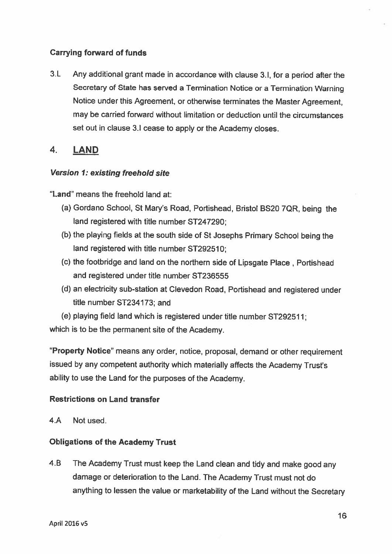### **Carrying forward of funds**

 $3.L$ Any additional grant made in accordance with clause 3.1, for a period after the Secretary of State has served a Termination Notice or a Termination Warning Notice under this Agreement, or otherwise terminates the Master Agreement. mav be carried forward without limitation or deduction until the circumstances set out in clause 3.1 cease to apply or the Academy closes.

#### $\overline{\mathbf{4}}$ **LAND**

### Version 1: existing freehold site

"Land" means the freehold land at:

- (a) Gordano School, St Mary's Road, Portishead, Bristol BS20 7QR, being the land registered with title number ST247290:
- (b) the playing fields at the south side of St Josephs Primary School being the land registered with title number ST292510:
- (c) the footbridge and land on the northern side of Lipsgate Place, Portishead and registered under title number ST236555
- (d) an electricity sub-station at Clevedon Road, Portishead and registered under title number ST234173: and
- (e) playing field land which is registered under title number ST292511:

which is to be the permanent site of the Academy.

"Property Notice" means any order, notice, proposal, demand or other requirement issued by any competent authority which materially affects the Academy Trust's ability to use the Land for the purposes of the Academy.

### **Restrictions on Land transfer**

 $4.A$ Not used.

### **Obligations of the Academy Trust**

 $4.B$ The Academy Trust must keep the Land clean and tidy and make good any damage or deterioration to the Land. The Academy Trust must not do anything to lessen the value or marketability of the Land without the Secretary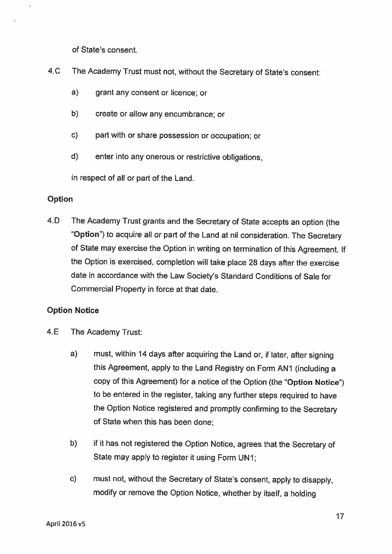of State's consent.

- $4.C.$ The Academy Trust must not, without the Secretary of State's consent:
	- $a)$ grant any consent or licence; or
	- $b)$ create or allow any encumbrance: or
	- $\mathsf{c}$ part with or share possession or occupation; or
	- $\mathsf{d}$ enter into any onerous or restrictive obligations.

in respect of all or part of the Land.

### **Option**

 $4.0$ The Academy Trust grants and the Secretary of State accepts an option (the "Option") to acquire all or part of the Land at nil consideration. The Secretary of State may exercise the Option in writing on termination of this Agreement. If the Option is exercised, completion will take place 28 days after the exercise date in accordance with the Law Society's Standard Conditions of Sale for Commercial Property in force at that date.

### **Option Notice**

- $4.E$ The Academy Trust:
	- must, within 14 days after acquiring the Land or, if later, after signing  $a)$ this Agreement, apply to the Land Registry on Form AN1 (including a copy of this Agreement) for a notice of the Option (the "Option Notice") to be entered in the register, taking any further steps required to have the Option Notice registered and promptly confirming to the Secretary of State when this has been done:
	- $b)$ if it has not registered the Option Notice, agrees that the Secretary of State may apply to register it using Form UN1;
	- $\mathsf{c}$ must not, without the Secretary of State's consent, apply to disapply, modify or remove the Option Notice, whether by itself, a holding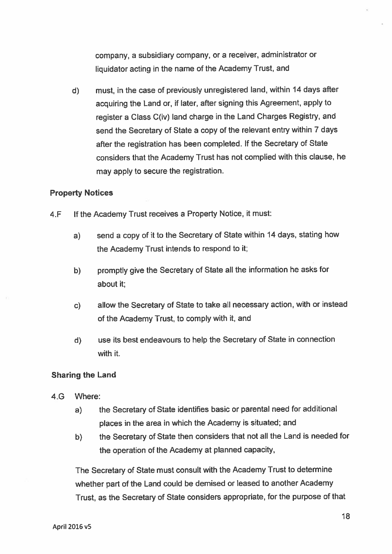company, a subsidiary company, or a receiver, administrator or liquidator acting in the name of the Academy Trust, and

must, in the case of previously unregistered land, within 14 days after  $\mathsf{d}$ acquiring the Land or, if later, after signing this Agreement, apply to register a Class C(iv) land charge in the Land Charges Registry, and send the Secretary of State a copy of the relevant entry within 7 days after the registration has been completed. If the Secretary of State considers that the Academy Trust has not complied with this clause, he may apply to secure the registration.

#### **Property Notices**

- If the Academy Trust receives a Property Notice, it must:  $4F$ 
	- send a copy of it to the Secretary of State within 14 days, stating how  $a)$ the Academy Trust intends to respond to it;
	- promptly give the Secretary of State all the information he asks for b) about it:
	- allow the Secretary of State to take all necessary action, with or instead  $c)$ of the Academy Trust, to comply with it, and
	- use its best endeavours to help the Secretary of State in connection  $\mathsf{d}$ with it

#### **Sharing the Land**

#### $4. G<sub>1</sub>$ Where:

- the Secretary of State identifies basic or parental need for additional  $a)$ places in the area in which the Academy is situated; and
- the Secretary of State then considers that not all the Land is needed for  $b)$ the operation of the Academy at planned capacity,

The Secretary of State must consult with the Academy Trust to determine whether part of the Land could be demised or leased to another Academy Trust, as the Secretary of State considers appropriate, for the purpose of that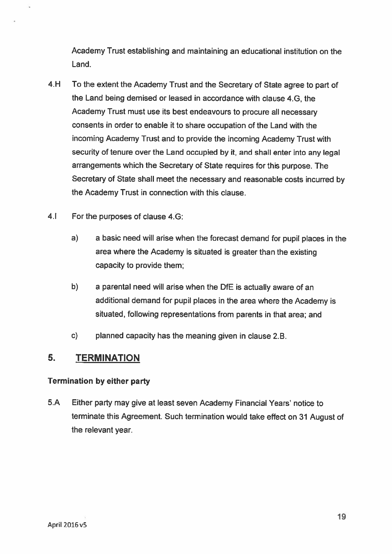Academy Trust establishing and maintaining an educational institution on the Land.

- $4.H$ To the extent the Academy Trust and the Secretary of State agree to part of the Land being demised or leased in accordance with clause 4.G. the Academy Trust must use its best endeavours to procure all necessary consents in order to enable it to share occupation of the Land with the incoming Academy Trust and to provide the incoming Academy Trust with security of tenure over the Land occupied by it, and shall enter into any legal arrangements which the Secretary of State requires for this purpose. The Secretary of State shall meet the necessary and reasonable costs incurred by the Academy Trust in connection with this clause.
- $4.1$ For the purposes of clause 4.G:
	- a basic need will arise when the forecast demand for pupil places in the  $a)$ area where the Academy is situated is greater than the existing capacity to provide them;
	- $b)$ a parental need will arise when the DfE is actually aware of an additional demand for pupil places in the area where the Academy is situated, following representations from parents in that area; and
	- $c)$ planned capacity has the meaning given in clause 2.B.

#### 5. **TERMINATION**

#### **Termination by either party**

 $5.A$ Either party may give at least seven Academy Financial Years' notice to terminate this Agreement. Such termination would take effect on 31 August of the relevant year.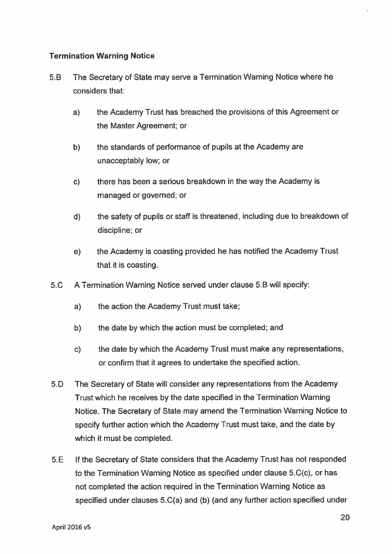### **Termination Warning Notice**

- The Secretary of State may serve a Termination Warning Notice where he  $5.B$ considers that:
	- $a)$ the Academy Trust has breached the provisions of this Agreement or the Master Agreement; or
	- the standards of performance of pupils at the Academy are b) unacceptably low; or
	- there has been a serious breakdown in the way the Academy is  $\mathbf{C}$ managed or governed; or
	- the safety of pupils or staff is threatened, including due to breakdown of  $\mathbf{d}$ discipline; or
	- the Academy is coasting provided he has notified the Academy Trust  $e)$ that it is coasting.
- $5.C.$ A Termination Warning Notice served under clause 5.B will specify:
	- the action the Academy Trust must take:  $a)$
	- b) the date by which the action must be completed; and
	- the date by which the Academy Trust must make any representations,  $c)$ or confirm that it agrees to undertake the specified action.
- The Secretary of State will consider any representations from the Academy  $5.D$ Trust which he receives by the date specified in the Termination Warning Notice. The Secretary of State may amend the Termination Warning Notice to specify further action which the Academy Trust must take, and the date by which it must be completed.
- $5.F$ If the Secretary of State considers that the Academy Trust has not responded to the Termination Warning Notice as specified under clause 5.C(c), or has not completed the action required in the Termination Warning Notice as specified under clauses 5.C(a) and (b) (and any further action specified under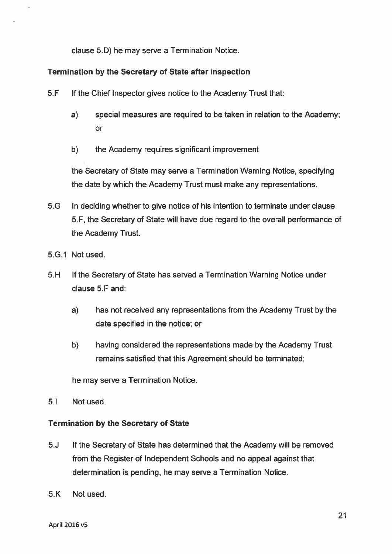clause 5.D) he may serve a Termination Notice.

#### Termination by the Secretary of State after inspection

- $5.F$ If the Chief Inspector gives notice to the Academy Trust that:
	- $a)$ special measures are required to be taken in relation to the Academy; **or**
	- $b)$ the Academy requires significant improvement

the Secretary of State may serve a Termination Warning Notice, specifying the date by which the Academy Trust must make any representations.

- $5.G$ In deciding whether to give notice of his intention to terminate under clause 5.F, the Secretary of State will have due regard to the overall performance of the Academy Trust.
- 5.G.1 Not used.
- $5.H$ If the Secretary of State has served a Termination Warning Notice under clause  $5 \text{ F}$  and:
	- $a)$ has not received any representations from the Academy Trust by the date specified in the notice; or
	- b) having considered the representations made by the Academy Trust remains satisfied that this Agreement should be terminated;

he may serve a Termination Notice.

 $5.1$ Not used.

#### **Termination by the Secretary of State**

- $5. J$ If the Secretary of State has determined that the Academy will be removed from the Register of Independent Schools and no appeal against that determination is pending, he may serve a Termination Notice.
- $5.K$ Not used.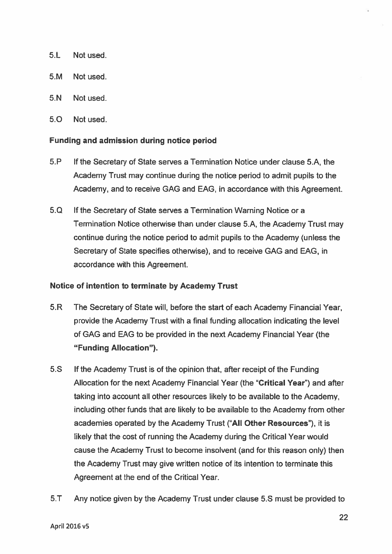- $5.L$ Not used.
- 5.M Not used.
- $5.N$ Not used.
- $5.0<sub>1</sub>$ Not used.

#### Funding and admission during notice period

- $5.P$ If the Secretary of State serves a Termination Notice under clause 5.A, the Academy Trust may continue during the notice period to admit pupils to the Academy, and to receive GAG and EAG, in accordance with this Agreement.
- $5.0<sub>1</sub>$ If the Secretary of State serves a Termination Warning Notice or a Termination Notice otherwise than under clause 5.A, the Academy Trust may continue during the notice period to admit pupils to the Academy (unless the Secretary of State specifies otherwise), and to receive GAG and EAG, in accordance with this Agreement.

#### Notice of intention to terminate by Academy Trust

- $5.R$ The Secretary of State will, before the start of each Academy Financial Year, provide the Academy Trust with a final funding allocation indicating the level of GAG and EAG to be provided in the next Academy Financial Year (the "Funding Allocation").
- $5.S$ If the Academy Trust is of the opinion that, after receipt of the Funding Allocation for the next Academy Financial Year (the "Critical Year") and after taking into account all other resources likely to be available to the Academy, including other funds that are likely to be available to the Academy from other academies operated by the Academy Trust ("All Other Resources"), it is likely that the cost of running the Academy during the Critical Year would cause the Academy Trust to become insolvent (and for this reason only) then the Academy Trust may give written notice of its intention to terminate this Agreement at the end of the Critical Year.
- $5.$ T Any notice given by the Academy Trust under clause 5.S must be provided to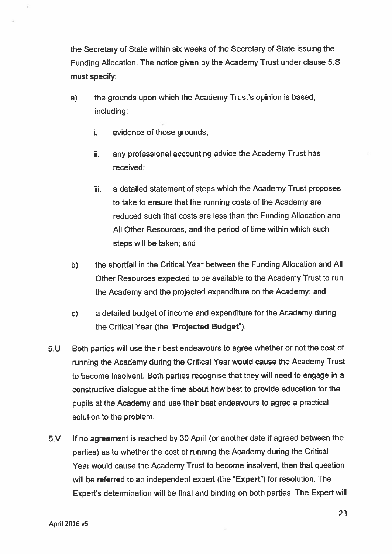the Secretary of State within six weeks of the Secretary of State issuing the Funding Allocation. The notice given by the Academy Trust under clause 5.S must specify:

- the grounds upon which the Academy Trust's opinion is based,  $a)$ including:
	- $\mathbf{i}$ . evidence of those grounds;
	- ii. any professional accounting advice the Academy Trust has received;
	- a detailed statement of steps which the Academy Trust proposes iii. to take to ensure that the running costs of the Academy are reduced such that costs are less than the Funding Allocation and All Other Resources, and the period of time within which such steps will be taken; and
- the shortfall in the Critical Year between the Funding Allocation and All  $b)$ Other Resources expected to be available to the Academy Trust to run the Academy and the projected expenditure on the Academy; and
- a detailed budget of income and expenditure for the Academy during  $c)$ the Critical Year (the "Projected Budget").
- $5. U$ Both parties will use their best endeavours to agree whether or not the cost of running the Academy during the Critical Year would cause the Academy Trust to become insolvent. Both parties recognise that they will need to engage in a constructive dialogue at the time about how best to provide education for the pupils at the Academy and use their best endeavours to agree a practical solution to the problem.
- $5.V$ If no agreement is reached by 30 April (or another date if agreed between the parties) as to whether the cost of running the Academy during the Critical Year would cause the Academy Trust to become insolvent, then that question will be referred to an independent expert (the "Expert") for resolution. The Expert's determination will be final and binding on both parties. The Expert will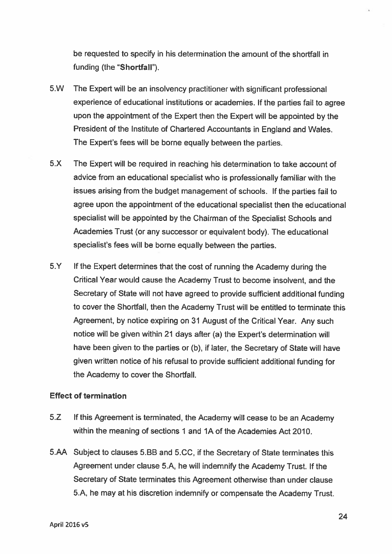be requested to specify in his determination the amount of the shortfall in funding (the "Shortfall").

- $5.W$ The Expert will be an insolvency practitioner with significant professional experience of educational institutions or academies. If the parties fail to agree upon the appointment of the Expert then the Expert will be appointed by the President of the Institute of Chartered Accountants in England and Wales. The Expert's fees will be borne equally between the parties.
- $5.X$ The Expert will be required in reaching his determination to take account of advice from an educational specialist who is professionally familiar with the issues arising from the budget management of schools. If the parties fail to agree upon the appointment of the educational specialist then the educational specialist will be appointed by the Chairman of the Specialist Schools and Academies Trust (or any successor or equivalent body). The educational specialist's fees will be borne equally between the parties.
- $5Y$ If the Expert determines that the cost of running the Academy during the Critical Year would cause the Academy Trust to become insolvent, and the Secretary of State will not have agreed to provide sufficient additional funding to cover the Shortfall, then the Academy Trust will be entitled to terminate this Agreement, by notice expiring on 31 August of the Critical Year. Any such notice will be given within 21 days after (a) the Expert's determination will have been given to the parties or (b), if later, the Secretary of State will have given written notice of his refusal to provide sufficient additional funding for the Academy to cover the Shortfall.

#### **Effect of termination**

- $5.Z$ If this Agreement is terminated, the Academy will cease to be an Academy within the meaning of sections 1 and 1A of the Academies Act 2010.
- 5.AA Subject to clauses 5.BB and 5.CC, if the Secretary of State terminates this Agreement under clause 5.A, he will indemnify the Academy Trust. If the Secretary of State terminates this Agreement otherwise than under clause 5.A, he may at his discretion indemnify or compensate the Academy Trust.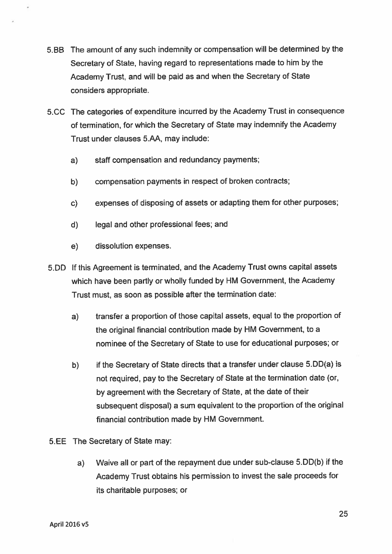- 5.BB The amount of any such indemnity or compensation will be determined by the Secretary of State, having regard to representations made to him by the Academy Trust, and will be paid as and when the Secretary of State considers appropriate.
- 5.CC The categories of expenditure incurred by the Academy Trust in consequence of termination, for which the Secretary of State may indemnify the Academy Trust under clauses 5.AA, may include:
	- $a)$ staff compensation and redundancy payments;
	- compensation payments in respect of broken contracts; b)
	- expenses of disposing of assets or adapting them for other purposes;  $c)$
	- legal and other professional fees; and  $\mathsf{d}$
	- $e)$ dissolution expenses.
- 5.DD If this Agreement is terminated, and the Academy Trust owns capital assets which have been partly or wholly funded by HM Government, the Academy Trust must, as soon as possible after the termination date:
	- transfer a proportion of those capital assets, equal to the proportion of  $a)$ the original financial contribution made by HM Government, to a nominee of the Secretary of State to use for educational purposes; or
	- if the Secretary of State directs that a transfer under clause 5.DD(a) is b) not required, pay to the Secretary of State at the termination date (or, by agreement with the Secretary of State, at the date of their subsequent disposal) a sum equivalent to the proportion of the original financial contribution made by HM Government.
- 5.EE The Secretary of State may:
	- Waive all or part of the repayment due under sub-clause 5.DD(b) if the  $a)$ Academy Trust obtains his permission to invest the sale proceeds for its charitable purposes; or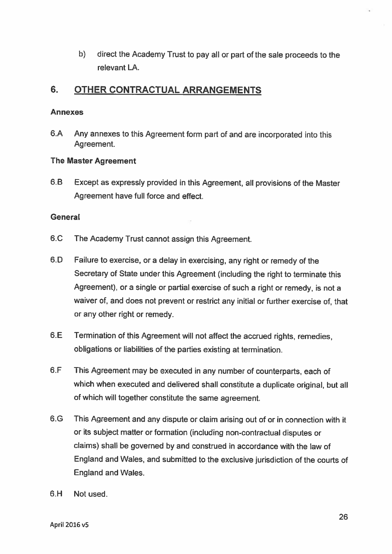b) direct the Academy Trust to pay all or part of the sale proceeds to the relevant I.A.

#### 6. OTHER CONTRACTUAL ARRANGEMENTS

#### **Annexes**

6.A Any annexes to this Agreement form part of and are incorporated into this Agreement.

#### **The Master Agreement**

 $6.B$ Except as expressly provided in this Agreement, all provisions of the Master Agreement have full force and effect.

#### General

- 6.C The Academy Trust cannot assign this Agreement.
- 6.D Failure to exercise, or a delay in exercising, any right or remedy of the Secretary of State under this Agreement (including the right to terminate this Agreement), or a single or partial exercise of such a right or remedy, is not a waiver of, and does not prevent or restrict any initial or further exercise of, that or any other right or remedy.
- 6.E Termination of this Agreement will not affect the accrued rights, remedies. obligations or liabilities of the parties existing at termination.
- $6F$ This Agreement may be executed in any number of counterparts, each of which when executed and delivered shall constitute a duplicate original, but all of which will together constitute the same agreement.
- $6.G$ This Agreement and any dispute or claim arising out of or in connection with it or its subject matter or formation (including non-contractual disputes or claims) shall be governed by and construed in accordance with the law of England and Wales, and submitted to the exclusive jurisdiction of the courts of **England and Wales.**
- $6.H$ Not used.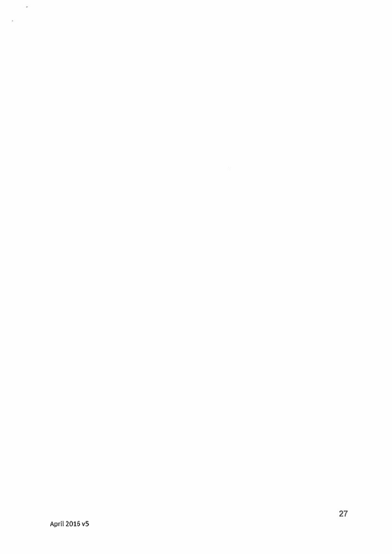$\sim$ 

 $\pm$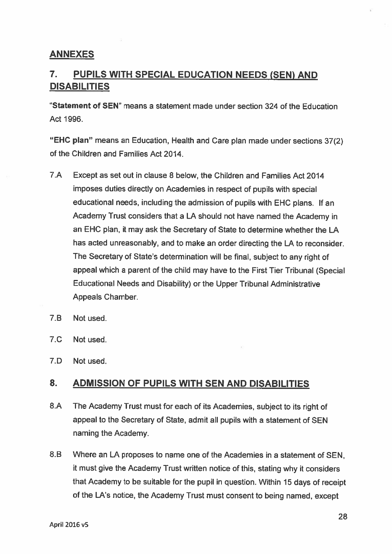## **ANNEXES**

#### $\overline{7}$ . PUPILS WITH SPECIAL EDUCATION NEEDS (SEN) AND **DISABILITIES**

"Statement of SEN" means a statement made under section 324 of the Education Act 1996.

"EHC plan" means an Education, Health and Care plan made under sections 37(2) of the Children and Families Act 2014.

- $7.A$ Except as set out in clause 8 below, the Children and Families Act 2014 imposes duties directly on Academies in respect of pupils with special educational needs, including the admission of pupils with EHC plans. If an Academy Trust considers that a LA should not have named the Academy in an EHC plan, it may ask the Secretary of State to determine whether the LA has acted unreasonably, and to make an order directing the LA to reconsider. The Secretary of State's determination will be final, subject to any right of appeal which a parent of the child may have to the First Tier Tribunal (Special Educational Needs and Disability) or the Upper Tribunal Administrative Appeals Chamber.
- $7.B$ Not used.
- $7.C.$ Not used.
- $7.D$ Not used.

#### 8. **ADMISSION OF PUPILS WITH SEN AND DISABILITIES**

- 8.A The Academy Trust must for each of its Academies, subject to its right of appeal to the Secretary of State, admit all pupils with a statement of SEN naming the Academy.
- $8.B$ Where an LA proposes to name one of the Academies in a statement of SEN. it must give the Academy Trust written notice of this, stating why it considers that Academy to be suitable for the pupil in question. Within 15 days of receipt of the LA's notice, the Academy Trust must consent to being named, except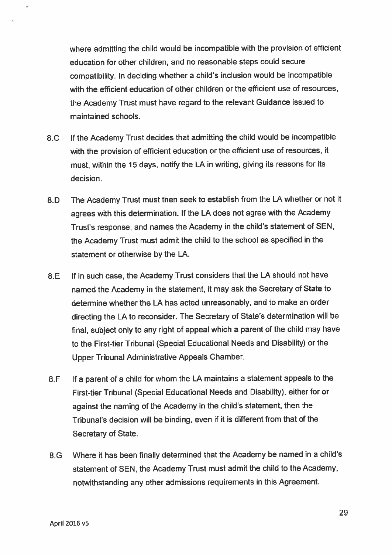where admitting the child would be incompatible with the provision of efficient education for other children, and no reasonable steps could secure compatibility. In deciding whether a child's inclusion would be incompatible with the efficient education of other children or the efficient use of resources, the Academy Trust must have regard to the relevant Guidance issued to maintained schools.

- If the Academy Trust decides that admitting the child would be incompatible 8.C with the provision of efficient education or the efficient use of resources, it must, within the 15 days, notify the LA in writing, giving its reasons for its decision.
- The Academy Trust must then seek to establish from the LA whether or not it 8.D agrees with this determination. If the LA does not agree with the Academy Trust's response, and names the Academy in the child's statement of SEN, the Academy Trust must admit the child to the school as specified in the statement or otherwise by the LA.
- If in such case, the Academy Trust considers that the LA should not have 8.E named the Academy in the statement, it may ask the Secretary of State to determine whether the LA has acted unreasonably, and to make an order directing the LA to reconsider. The Secretary of State's determination will be final, subject only to any right of appeal which a parent of the child may have to the First-tier Tribunal (Special Educational Needs and Disability) or the Upper Tribunal Administrative Appeals Chamber.
- If a parent of a child for whom the LA maintains a statement appeals to the  $8.F$ First-tier Tribunal (Special Educational Needs and Disability), either for or against the naming of the Academy in the child's statement, then the Tribunal's decision will be binding, even if it is different from that of the Secretary of State.
- Where it has been finally determined that the Academy be named in a child's  $8.G$ statement of SEN, the Academy Trust must admit the child to the Academy, notwithstanding any other admissions requirements in this Agreement.